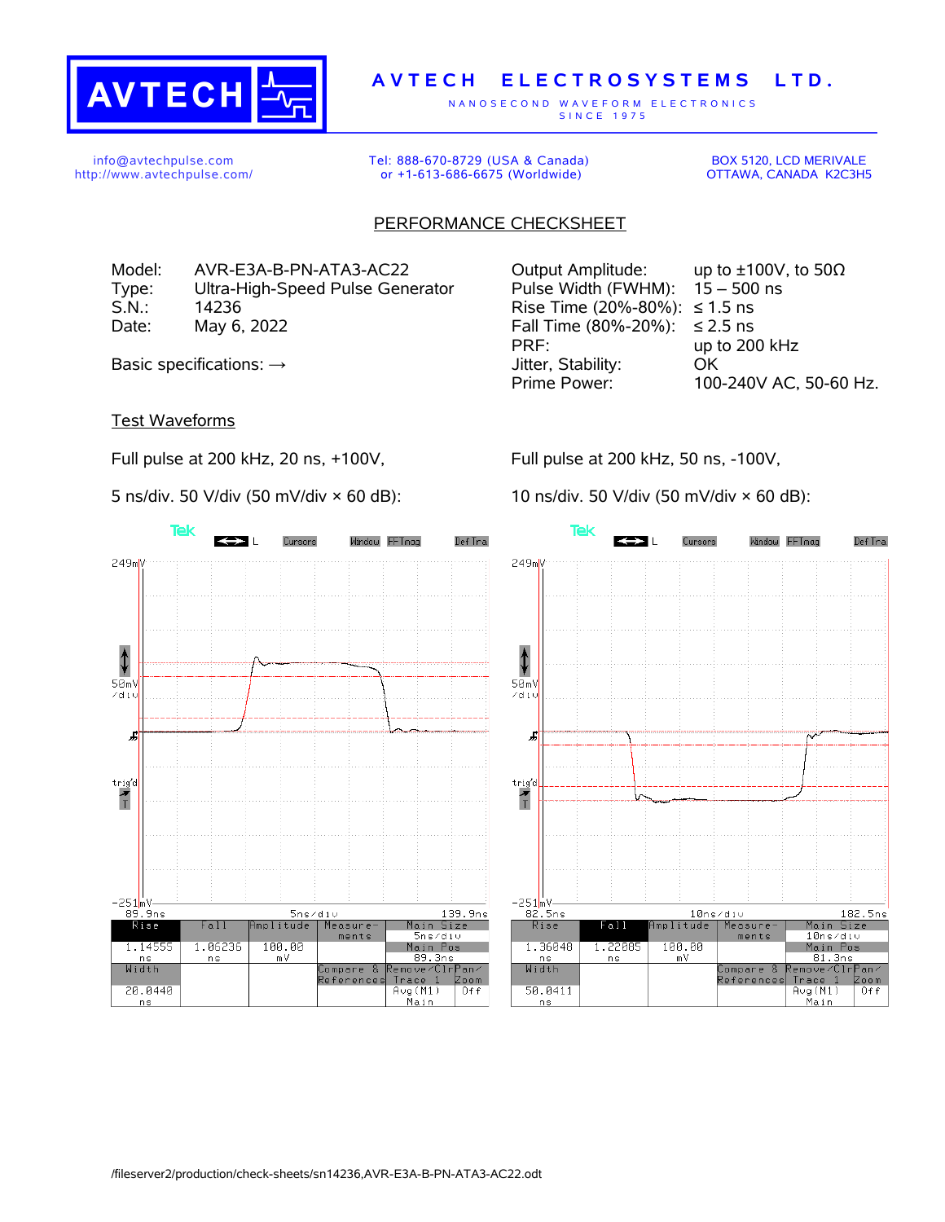

## **A V T E C H E L E C T R O S Y S T E M S L T D .**

N A N O S E C O N D W A V E F O R M E L E C T R O N I C S S IN C E 1975

info@avtechpulse.com http://www.avtechpulse.com/ Tel: 888-670-8729 (USA & Canada) or +1-613-686-6675 (Worldwide)

BOX 5120, LCD MERIVALE OTTAWA, CANADA K2C3H5

## PERFORMANCE CHECKSHEET

Model: AVR-E3A-B-PN-ATA3-AC22 Output Amplitude: up to ±100V, to 50Ω Type: Ultra-High-Speed Pulse Generator Pulse Width (FWHM): 15 – 500 ns S.N.: 14236 Rise Time (20%-80%): ≤ 1.5 ns Date: May 6, 2022 Fall Time (80%-20%): ≤ 2.5 ns

PRF: up to 200 kHz Basic specifications:  $\rightarrow$  Stability: OK Prime Power: 100-240V AC, 50-60 Hz.

Test Waveforms

Full pulse at 200 kHz, 20 ns, +100V,

5 ns/div. 50 V/div (50 mV/div × 60 dB):

Full pulse at 200 kHz, 50 ns, -100V,

10 ns/div. 50 V/div (50 mV/div × 60 dB):





<u>Main</u>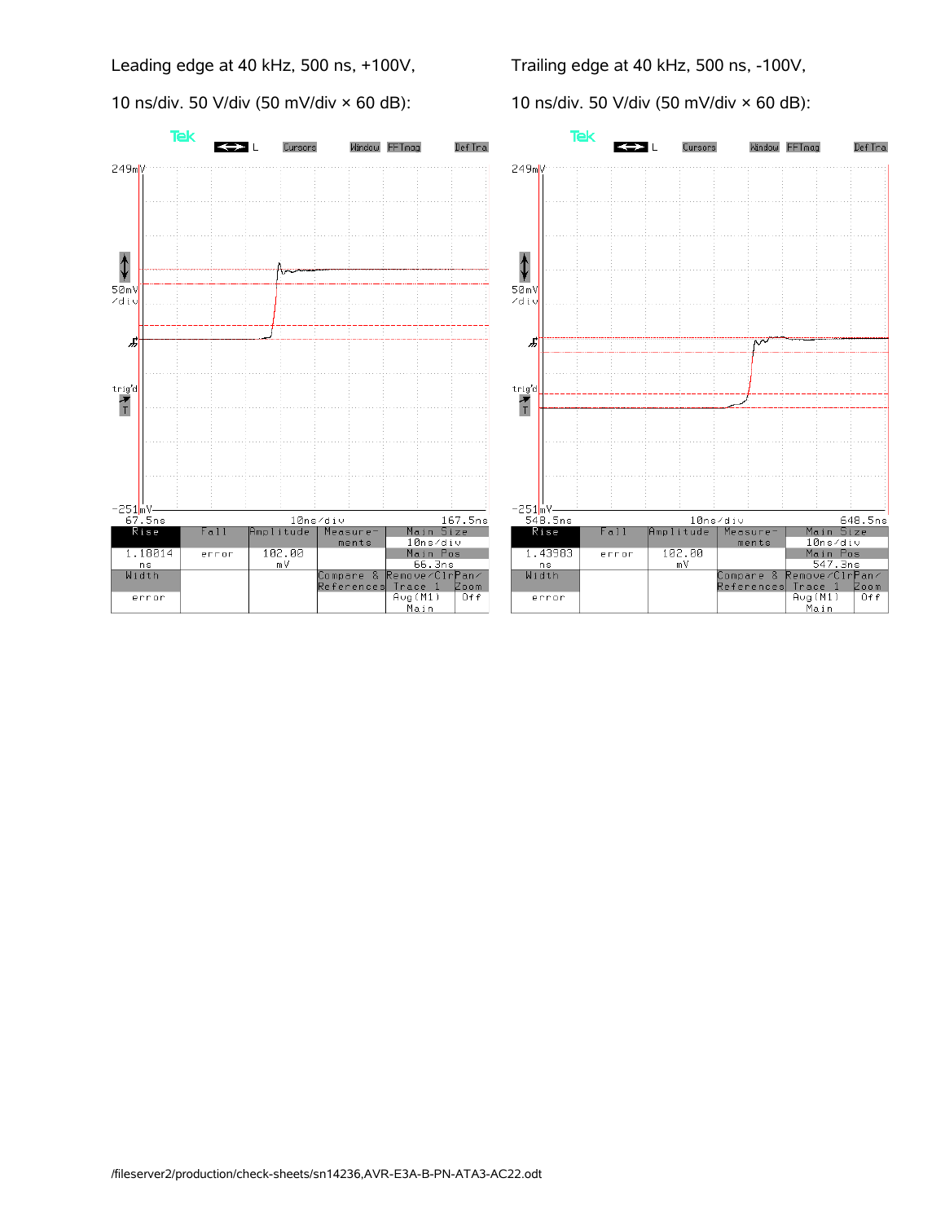Leading edge at 40 kHz, 500 ns, +100V,

10 ns/div. 50 V/div (50 mV/div × 60 dB):

Trailing edge at 40 kHz, 500 ns, -100V,

10 ns/div. 50 V/div (50 mV/div × 60 dB):